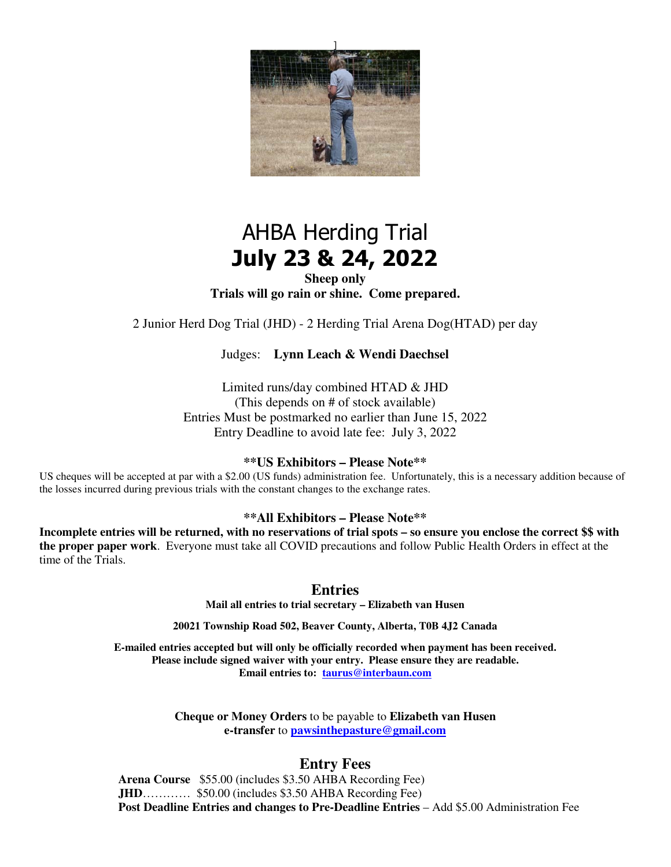

# AHBA Herding Trial **July 23 & 24, 2022**

**Sheep only Trials will go rain or shine. Come prepared.** 

2 Junior Herd Dog Trial (JHD) - 2 Herding Trial Arena Dog(HTAD) per day

#### Judges: **Lynn Leach & Wendi Daechsel**

Limited runs/day combined HTAD & JHD (This depends on # of stock available) Entries Must be postmarked no earlier than June 15, 2022 Entry Deadline to avoid late fee: July 3, 2022

#### **\*\*US Exhibitors – Please Note\*\***

US cheques will be accepted at par with a \$2.00 (US funds) administration fee. Unfortunately, this is a necessary addition because of the losses incurred during previous trials with the constant changes to the exchange rates.

**\*\*All Exhibitors – Please Note\*\*** 

**Incomplete entries will be returned, with no reservations of trial spots – so ensure you enclose the correct \$\$ with the proper paper work**. Everyone must take all COVID precautions and follow Public Health Orders in effect at the time of the Trials.

#### **Entries**

**Mail all entries to trial secretary – Elizabeth van Husen** 

**20021 Township Road 502, Beaver County, Alberta, T0B 4J2 Canada** 

**E-mailed entries accepted but will only be officially recorded when payment has been received. Please include signed waiver with your entry. Please ensure they are readable. Email entries to: taurus@interbaun.com** 

> **Cheque or Money Orders** to be payable to **Elizabeth van Husen e-transfer** to **pawsinthepasture@gmail.com**

### **Entry Fees**

**Arena Course** \$55.00 (includes \$3.50 AHBA Recording Fee) **JHD**………… \$50.00 (includes \$3.50 AHBA Recording Fee) **Post Deadline Entries and changes to Pre-Deadline Entries** – Add \$5.00 Administration Fee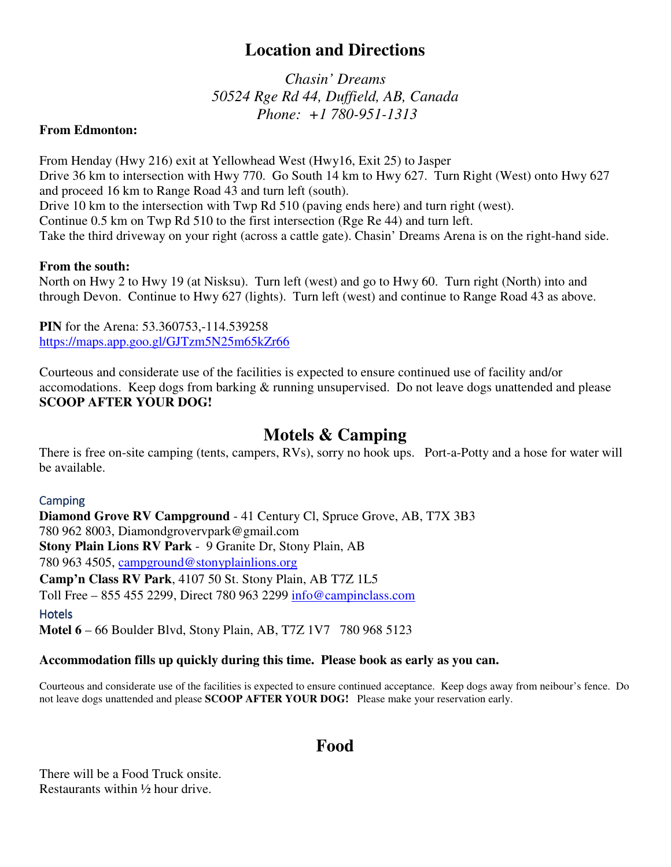# **Location and Directions**

*Chasin' Dreams 50524 Rge Rd 44, Duffield, AB, Canada Phone: +1 780-951-1313* 

### **From Edmonton:**

From Henday (Hwy 216) exit at Yellowhead West (Hwy16, Exit 25) to Jasper Drive 36 km to intersection with Hwy 770. Go South 14 km to Hwy 627. Turn Right (West) onto Hwy 627 and proceed 16 km to Range Road 43 and turn left (south). Drive 10 km to the intersection with Twp Rd 510 (paving ends here) and turn right (west). Continue 0.5 km on Twp Rd 510 to the first intersection (Rge Re 44) and turn left. Take the third driveway on your right (across a cattle gate). Chasin' Dreams Arena is on the right-hand side.

### **From the south:**

North on Hwy 2 to Hwy 19 (at Nisksu). Turn left (west) and go to Hwy 60. Turn right (North) into and through Devon. Continue to Hwy 627 (lights). Turn left (west) and continue to Range Road 43 as above.

**PIN** for the Arena: 53.360753,-114.539258 https://maps.app.goo.gl/GJTzm5N25m65kZr66

Courteous and considerate use of the facilities is expected to ensure continued use of facility and/or accomodations. Keep dogs from barking & running unsupervised. Do not leave dogs unattended and please **SCOOP AFTER YOUR DOG!** 

# **Motels & Camping**

There is free on-site camping (tents, campers, RVs), sorry no hook ups. Port-a-Potty and a hose for water will be available.

### **Camping**

**Diamond Grove RV Campground** - 41 Century Cl, Spruce Grove, AB, T7X 3B3 780 962 8003, Diamondgrovervpark@gmail.com **Stony Plain Lions RV Park** - 9 Granite Dr, Stony Plain, AB 780 963 4505, campground@stonyplainlions.org **Camp'n Class RV Park**, 4107 50 St. Stony Plain, AB T7Z 1L5 Toll Free – 855 455 2299, Direct 780 963 2299 info@campinclass.com **Hotels Motel 6** – 66 Boulder Blvd, Stony Plain, AB, T7Z 1V7 780 968 5123

### **Accommodation fills up quickly during this time. Please book as early as you can.**

Courteous and considerate use of the facilities is expected to ensure continued acceptance. Keep dogs away from neibour's fence. Do not leave dogs unattended and please **SCOOP AFTER YOUR DOG!** Please make your reservation early.

# **Food**

There will be a Food Truck onsite. Restaurants within ½ hour drive.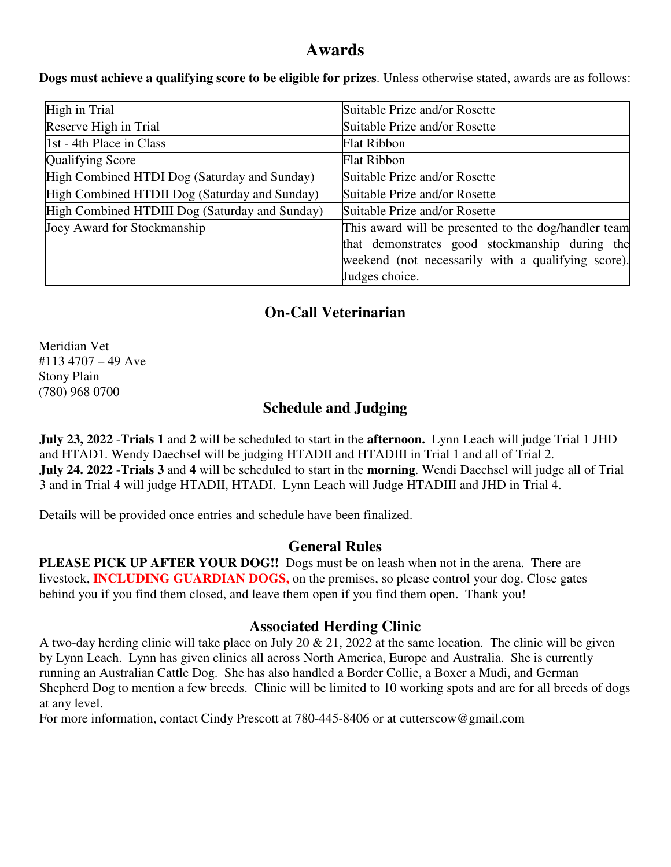# **Awards**

**Dogs must achieve a qualifying score to be eligible for prizes**. Unless otherwise stated, awards are as follows:

| High in Trial                                  | Suitable Prize and/or Rosette                        |
|------------------------------------------------|------------------------------------------------------|
| Reserve High in Trial                          | Suitable Prize and/or Rosette                        |
| 1st - 4th Place in Class                       | <b>Flat Ribbon</b>                                   |
| Qualifying Score                               | <b>Flat Ribbon</b>                                   |
| High Combined HTDI Dog (Saturday and Sunday)   | Suitable Prize and/or Rosette                        |
| High Combined HTDII Dog (Saturday and Sunday)  | Suitable Prize and/or Rosette                        |
| High Combined HTDIII Dog (Saturday and Sunday) | Suitable Prize and/or Rosette                        |
| Joey Award for Stockmanship                    | This award will be presented to the dog/handler team |
|                                                | that demonstrates good stockmanship during the       |
|                                                | weekend (not necessarily with a qualifying score).   |
|                                                | Judges choice.                                       |

# **On-Call Veterinarian**

Meridian Vet #113 4707 – 49 Ave Stony Plain (780) 968 0700

# **Schedule and Judging**

**July 23, 2022** -**Trials 1** and **2** will be scheduled to start in the **afternoon.** Lynn Leach will judge Trial 1 JHD and HTAD1. Wendy Daechsel will be judging HTADII and HTADIII in Trial 1 and all of Trial 2. **July 24. 2022** -**Trials 3** and **4** will be scheduled to start in the **morning**. Wendi Daechsel will judge all of Trial 3 and in Trial 4 will judge HTADII, HTADI. Lynn Leach will Judge HTADIII and JHD in Trial 4.

Details will be provided once entries and schedule have been finalized.

### **General Rules**

**PLEASE PICK UP AFTER YOUR DOG!!** Dogs must be on leash when not in the arena. There are livestock, **INCLUDING GUARDIAN DOGS,** on the premises, so please control your dog. Close gates behind you if you find them closed, and leave them open if you find them open. Thank you!

### **Associated Herding Clinic**

A two-day herding clinic will take place on July 20 & 21, 2022 at the same location. The clinic will be given by Lynn Leach. Lynn has given clinics all across North America, Europe and Australia. She is currently running an Australian Cattle Dog. She has also handled a Border Collie, a Boxer a Mudi, and German Shepherd Dog to mention a few breeds. Clinic will be limited to 10 working spots and are for all breeds of dogs at any level.

For more information, contact Cindy Prescott at 780-445-8406 or at cutterscow@gmail.com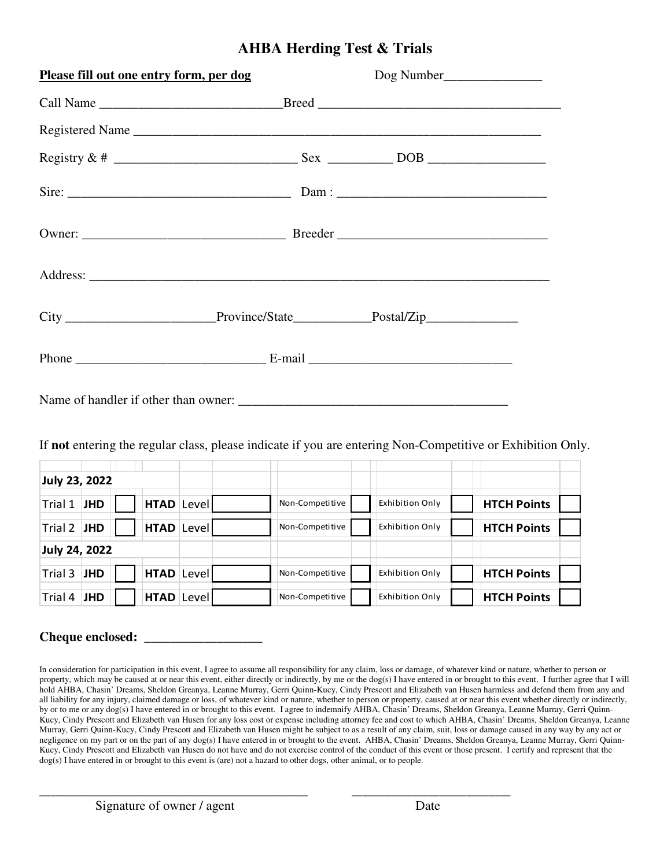### **AHBA Herding Test & Trials**

| Please fill out one entry form, per dog |                                                                        |
|-----------------------------------------|------------------------------------------------------------------------|
|                                         |                                                                        |
|                                         | Registered Name                                                        |
|                                         |                                                                        |
|                                         |                                                                        |
|                                         |                                                                        |
|                                         |                                                                        |
|                                         |                                                                        |
|                                         | Phone $\_\_\_\_\_\_\_\_\_\_\_\_$ E-mail $\_\_\_\_\_\_\_\_\_\_\_\_\_\_$ |
| Name of handler if other than owner:    |                                                                        |

If **not** entering the regular class, please indicate if you are entering Non-Competitive or Exhibition Only.

| July 23, 2022 |            |  |  |                   |                 |                 |                    |  |
|---------------|------------|--|--|-------------------|-----------------|-----------------|--------------------|--|
| Trial 1       | <b>JHD</b> |  |  | HTAD Level        | Non-Competitive | Exhibition Only | <b>HTCH Points</b> |  |
| Trial 2 JHD   |            |  |  | <b>HTAD</b> Level | Non-Competitive | Exhibition Only | <b>HTCH Points</b> |  |
| July 24, 2022 |            |  |  |                   |                 |                 |                    |  |
| Trial 3       | <b>JHD</b> |  |  | HTAD Level        | Non-Competitive | Exhibition Only | <b>HTCH Points</b> |  |
| Trial 4       | <b>JHD</b> |  |  | <b>HTAD</b> Level | Non-Competitive | Exhibition Only | <b>HTCH Points</b> |  |

**Cheque enclosed: \_\_\_\_\_\_\_\_\_\_\_\_\_\_\_\_\_\_** 

In consideration for participation in this event, I agree to assume all responsibility for any claim, loss or damage, of whatever kind or nature, whether to person or property, which may be caused at or near this event, either directly or indirectly, by me or the dog(s) I have entered in or brought to this event. I further agree that I will hold AHBA, Chasin' Dreams, Sheldon Greanya, Leanne Murray, Gerri Quinn-Kucy, Cindy Prescott and Elizabeth van Husen harmless and defend them from any and all liability for any injury, claimed damage or loss, of whatever kind or nature, whether to person or property, caused at or near this event whether directly or indirectly, by or to me or any dog(s) I have entered in or brought to this event. I agree to indemnify AHBA, Chasin' Dreams, Sheldon Greanya, Leanne Murray, Gerri Quinn-Kucy, Cindy Prescott and Elizabeth van Husen for any loss cost or expense including attorney fee and cost to which AHBA, Chasin' Dreams, Sheldon Greanya, Leanne Murray, Gerri Quinn-Kucy, Cindy Prescott and Elizabeth van Husen might be subject to as a result of any claim, suit, loss or damage caused in any way by any act or negligence on my part or on the part of any dog(s) I have entered in or brought to the event. AHBA, Chasin' Dreams, Sheldon Greanya, Leanne Murray, Gerri Quinn-Kucy, Cindy Prescott and Elizabeth van Husen do not have and do not exercise control of the conduct of this event or those present. I certify and represent that the dog(s) I have entered in or brought to this event is (are) not a hazard to other dogs, other animal, or to people.

\_\_\_\_\_\_\_\_\_\_\_\_\_\_\_\_\_\_\_\_\_\_\_\_\_\_\_\_\_\_\_\_\_\_\_\_\_\_\_\_\_\_\_\_\_\_\_\_\_ \_\_\_\_\_\_\_\_\_\_\_\_\_\_\_\_\_\_\_\_\_\_\_\_\_\_\_\_\_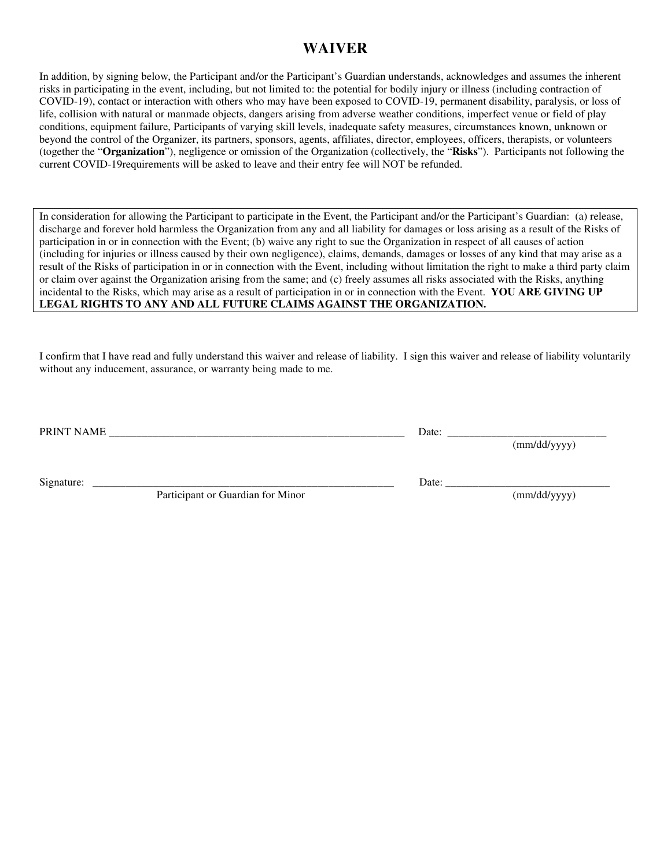### **WAIVER**

In addition, by signing below, the Participant and/or the Participant's Guardian understands, acknowledges and assumes the inherent risks in participating in the event, including, but not limited to: the potential for bodily injury or illness (including contraction of COVID-19), contact or interaction with others who may have been exposed to COVID-19, permanent disability, paralysis, or loss of life, collision with natural or manmade objects, dangers arising from adverse weather conditions, imperfect venue or field of play conditions, equipment failure, Participants of varying skill levels, inadequate safety measures, circumstances known, unknown or beyond the control of the Organizer, its partners, sponsors, agents, affiliates, director, employees, officers, therapists, or volunteers (together the "**Organization**"), negligence or omission of the Organization (collectively, the "**Risks**"). Participants not following the current COVID-19requirements will be asked to leave and their entry fee will NOT be refunded.

In consideration for allowing the Participant to participate in the Event, the Participant and/or the Participant's Guardian: (a) release, discharge and forever hold harmless the Organization from any and all liability for damages or loss arising as a result of the Risks of participation in or in connection with the Event; (b) waive any right to sue the Organization in respect of all causes of action (including for injuries or illness caused by their own negligence), claims, demands, damages or losses of any kind that may arise as a result of the Risks of participation in or in connection with the Event, including without limitation the right to make a third party claim or claim over against the Organization arising from the same; and (c) freely assumes all risks associated with the Risks, anything incidental to the Risks, which may arise as a result of participation in or in connection with the Event. **YOU ARE GIVING UP LEGAL RIGHTS TO ANY AND ALL FUTURE CLAIMS AGAINST THE ORGANIZATION.** 

I confirm that I have read and fully understand this waiver and release of liability. I sign this waiver and release of liability voluntarily without any inducement, assurance, or warranty being made to me.

PRINT NAME \_\_\_\_\_\_\_\_\_\_\_\_\_\_\_\_\_\_\_\_\_\_\_\_\_\_\_\_\_\_\_\_\_\_\_\_\_\_\_\_\_\_\_\_\_\_\_\_\_\_\_\_\_\_ Date: \_\_\_\_\_\_\_\_\_\_\_\_\_\_\_\_\_\_\_\_\_\_\_\_\_\_\_\_\_

(mm/dd/yyyy)

Signature: \_\_\_\_\_\_\_\_\_\_\_\_\_\_\_\_\_\_\_\_\_\_\_\_\_\_\_\_\_\_\_\_\_\_\_\_\_\_\_\_\_\_\_\_\_\_\_\_\_\_\_\_\_\_\_ Date: \_\_\_\_\_\_\_\_\_\_\_\_\_\_\_\_\_\_\_\_\_\_\_\_\_\_\_\_\_\_

Participant or Guardian for Minor (mm/dd/yyyy)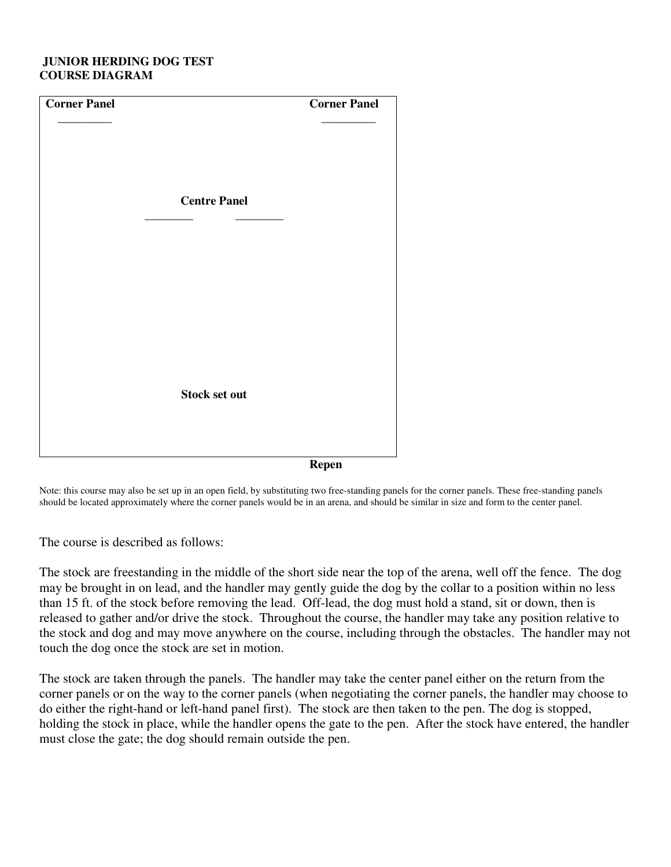#### **JUNIOR HERDING DOG TEST COURSE DIAGRAM**

| <b>Corner Panel</b> |                      | <b>Corner Panel</b> |
|---------------------|----------------------|---------------------|
|                     |                      |                     |
|                     |                      |                     |
|                     |                      |                     |
|                     |                      |                     |
|                     | <b>Centre Panel</b>  |                     |
|                     |                      |                     |
|                     |                      |                     |
|                     |                      |                     |
|                     |                      |                     |
|                     |                      |                     |
|                     |                      |                     |
|                     |                      |                     |
|                     |                      |                     |
|                     |                      |                     |
|                     | <b>Stock set out</b> |                     |
|                     |                      |                     |
|                     |                      |                     |
|                     |                      | <b>Repen</b>        |

Note: this course may also be set up in an open field, by substituting two free-standing panels for the corner panels. These free-standing panels should be located approximately where the corner panels would be in an arena, and should be similar in size and form to the center panel.

The course is described as follows:

The stock are freestanding in the middle of the short side near the top of the arena, well off the fence. The dog may be brought in on lead, and the handler may gently guide the dog by the collar to a position within no less than 15 ft. of the stock before removing the lead. Off-lead, the dog must hold a stand, sit or down, then is released to gather and/or drive the stock. Throughout the course, the handler may take any position relative to the stock and dog and may move anywhere on the course, including through the obstacles. The handler may not touch the dog once the stock are set in motion.

The stock are taken through the panels. The handler may take the center panel either on the return from the corner panels or on the way to the corner panels (when negotiating the corner panels, the handler may choose to do either the right-hand or left-hand panel first). The stock are then taken to the pen. The dog is stopped, holding the stock in place, while the handler opens the gate to the pen. After the stock have entered, the handler must close the gate; the dog should remain outside the pen.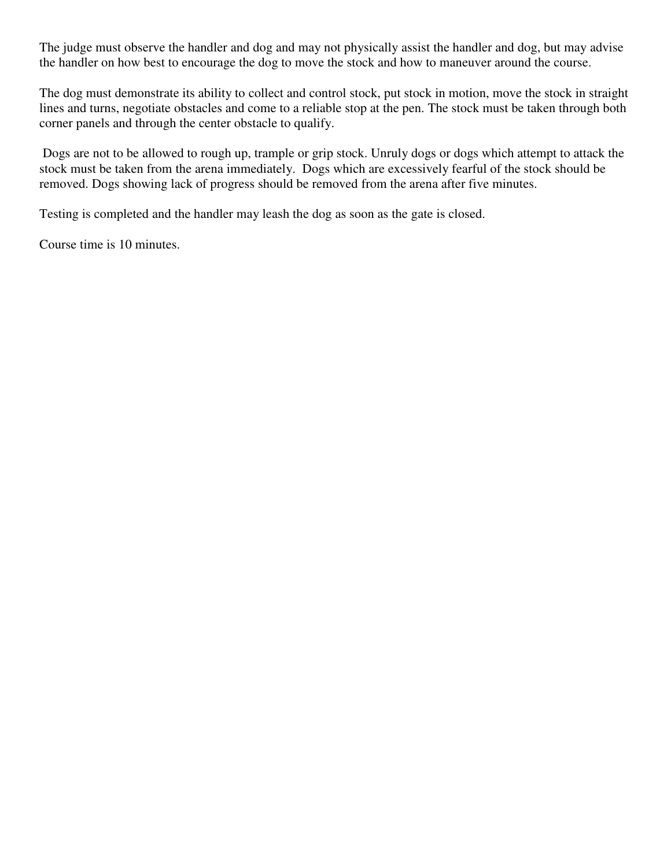The judge must observe the handler and dog and may not physically assist the handler and dog, but may advise the handler on how best to encourage the dog to move the stock and how to maneuver around the course.

The dog must demonstrate its ability to collect and control stock, put stock in motion, move the stock in straight lines and turns, negotiate obstacles and come to a reliable stop at the pen. The stock must be taken through both corner panels and through the center obstacle to qualify.

 Dogs are not to be allowed to rough up, trample or grip stock. Unruly dogs or dogs which attempt to attack the stock must be taken from the arena immediately. Dogs which are excessively fearful of the stock should be removed. Dogs showing lack of progress should be removed from the arena after five minutes.

Testing is completed and the handler may leash the dog as soon as the gate is closed.

Course time is 10 minutes.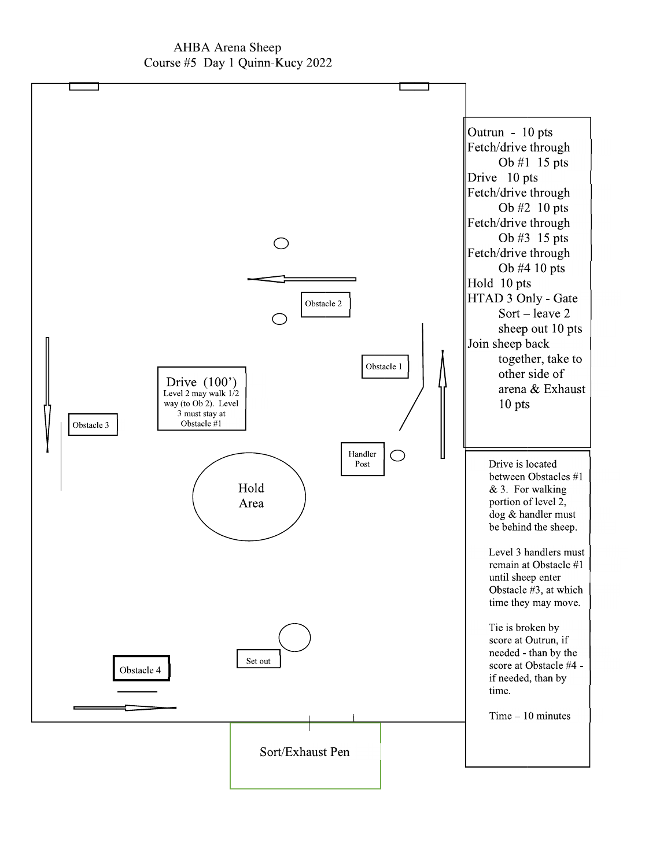### AHBA Arena Sheep Course #5 Day 1 Quinn-Kucy 2022